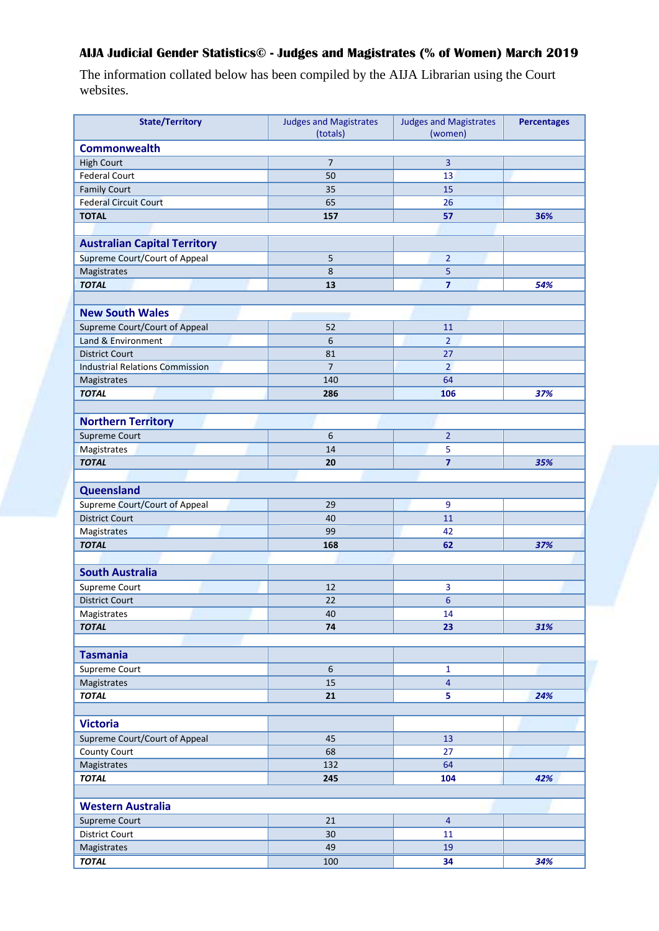## **AIJA Judicial Gender Statistics© - Judges and Magistrates (% of Women) March 2019**

The information collated below has been compiled by the AIJA Librarian using the Court websites.

| <b>State/Territory</b>                    | <b>Judges and Magistrates</b><br>(totals) | <b>Judges and Magistrates</b><br>(women) | <b>Percentages</b> |
|-------------------------------------------|-------------------------------------------|------------------------------------------|--------------------|
| <b>Commonwealth</b>                       |                                           |                                          |                    |
|                                           | $\overline{7}$                            | 3                                        |                    |
| <b>High Court</b><br><b>Federal Court</b> | 50                                        | 13                                       |                    |
|                                           |                                           |                                          |                    |
| <b>Family Court</b>                       | 35                                        | 15                                       |                    |
| <b>Federal Circuit Court</b>              | 65                                        | 26                                       |                    |
| <b>TOTAL</b>                              | 157                                       | 57                                       | 36%                |
|                                           |                                           |                                          |                    |
| <b>Australian Capital Territory</b>       |                                           |                                          |                    |
| Supreme Court/Court of Appeal             | 5                                         | $\overline{2}$                           |                    |
| Magistrates                               | $\,8\,$                                   | 5                                        |                    |
| <b>TOTAL</b>                              | 13                                        | $\overline{\mathbf{z}}$                  | 54%                |
|                                           |                                           |                                          |                    |
| <b>New South Wales</b>                    |                                           |                                          |                    |
| Supreme Court/Court of Appeal             | 52                                        | 11                                       |                    |
| Land & Environment                        | 6                                         | $\overline{2}$                           |                    |
| <b>District Court</b>                     | 81                                        | 27                                       |                    |
| <b>Industrial Relations Commission</b>    | $\overline{7}$                            | $\overline{2}$                           |                    |
| Magistrates                               | 140                                       | 64                                       |                    |
| <b>TOTAL</b>                              | 286                                       | 106                                      | 37%                |
|                                           |                                           |                                          |                    |
| <b>Northern Territory</b>                 |                                           |                                          |                    |
| <b>Supreme Court</b>                      | 6                                         | $\overline{2}$                           |                    |
| Magistrates                               | 14                                        | 5                                        |                    |
| <b>TOTAL</b>                              | 20                                        | $\overline{7}$                           | 35%                |
|                                           |                                           |                                          |                    |
| Queensland                                |                                           |                                          |                    |
| Supreme Court/Court of Appeal             | 29                                        | 9                                        |                    |
| <b>District Court</b>                     | 40                                        | 11                                       |                    |
| Magistrates                               | 99                                        | 42                                       |                    |
| <b>TOTAL</b>                              | 168                                       | 62                                       | 37%                |
|                                           |                                           |                                          |                    |
| <b>South Australia</b>                    |                                           |                                          |                    |
| <b>Supreme Court</b>                      | 12                                        | 3                                        |                    |
| <b>District Court</b>                     | 22                                        | $\boldsymbol{6}$                         |                    |
| Magistrates                               | 40                                        | 14                                       |                    |
| <b>TOTAL</b>                              | 74                                        | 23                                       | 31%                |
|                                           |                                           |                                          |                    |
| <b>Tasmania</b>                           |                                           |                                          |                    |
| Supreme Court                             | $\boldsymbol{6}$                          | $\mathbf{1}$                             |                    |
| Magistrates                               | 15                                        | $\overline{4}$                           |                    |
| <b>TOTAL</b>                              | 21                                        | 5                                        | 24%                |
|                                           |                                           |                                          |                    |
| <b>Victoria</b>                           |                                           |                                          |                    |
| Supreme Court/Court of Appeal             | 45                                        | 13                                       |                    |
| County Court                              | 68                                        | 27                                       |                    |
| Magistrates                               | 132                                       | 64                                       |                    |
| <b>TOTAL</b>                              | 245                                       | 104                                      | 42%                |
|                                           |                                           |                                          |                    |
| <b>Western Australia</b>                  |                                           |                                          |                    |
| Supreme Court                             | 21                                        | $\overline{4}$                           |                    |
| <b>District Court</b>                     | 30                                        | 11                                       |                    |
| Magistrates                               | 49                                        | 19                                       |                    |
| <b>TOTAL</b>                              | 100                                       | 34                                       | 34%                |
|                                           |                                           |                                          |                    |